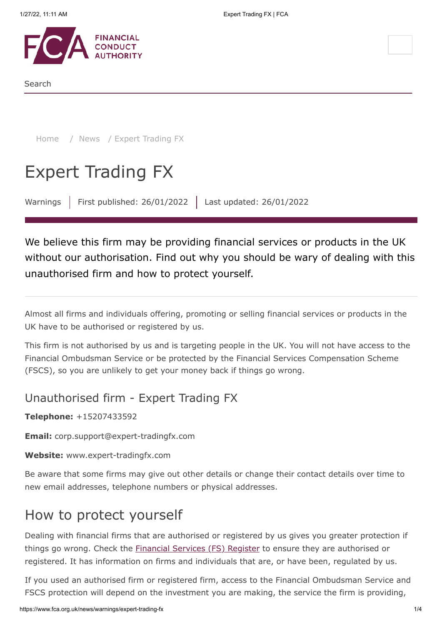

Search

[Home](https://www.fca.org.uk/) / [News](https://www.fca.org.uk/news) / Expert Trading FX

# Expert Trading FX

Warnings | First published: 26/01/2022 | Last updated: 26/01/2022

We believe this firm may be providing financial services or products in the UK without our authorisation. Find out why you should be wary of dealing with this unauthorised firm and how to protect yourself.

Almost all firms and individuals offering, promoting or selling financial services or products in the UK have to be authorised or registered by us.

This firm is not authorised by us and is targeting people in the UK. You will not have access to the Financial Ombudsman Service or be protected by the Financial Services Compensation Scheme (FSCS), so you are unlikely to get your money back if things go wrong.

### Unauthorised firm - Expert Trading FX

**Telephone:** +15207433592

**Email:** corp.support@expert-tradingfx.com

**Website:** www.expert-tradingfx.com

Be aware that some firms may give out other details or change their contact details over time to new email addresses, telephone numbers or physical addresses.

# How to protect yourself

Dealing with financial firms that are authorised or registered by us gives you greater protection if things go wrong. Check the **[Financial Services \(FS\) Register](https://register.fca.org.uk/)** to ensure they are authorised or registered. It has information on firms and individuals that are, or have been, regulated by us.

If you used an authorised firm or registered firm, access to the Financial Ombudsman Service and FSCS protection will depend on the investment you are making, the service the firm is providing,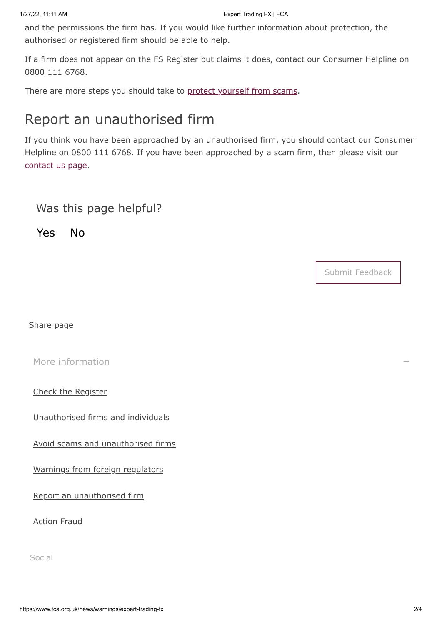and the permissions the firm has. If you would like further information about protection, the authorised or registered firm should be able to help.

If a firm does not appear on the FS Register but claims it does, contact our Consumer Helpline on 0800 111 6768.

There are more steps you should take to [protect yourself from scams](https://www.fca.org.uk/consumers/avoid-scams-unauthorised-firms).

# Report an unauthorised firm

If you think you have been approached by an unauthorised firm, you should contact our Consumer Helpline on 0800 111 6768. If you have been approached by a scam firm, then please visit our [contact us page.](https://www.fca.org.uk/contact)

### Was this page helpful?

Yes No

Submit Feedback

Share page

[More information](#page-1-0)

<span id="page-1-0"></span>[Check the Register](https://register.fca.org.uk/)

[Unauthorised firms and individuals](https://www.fca.org.uk/consumers/unauthorised-firms-individuals)

[Avoid scams and unauthorised firms](https://www.fca.org.uk/consumers/avoid-scams-unauthorised-firms)

[Warnings from foreign regulators](https://www.iosco.org/investor_protection/?subsection=investor_alerts_portal)

[Report an unauthorised firm](https://www.fca.org.uk/consumers/report-scam-unauthorised-firm)

[Action Fraud](https://www.fca.org.uk/consumers/report-scam-unauthorised-firm)

Social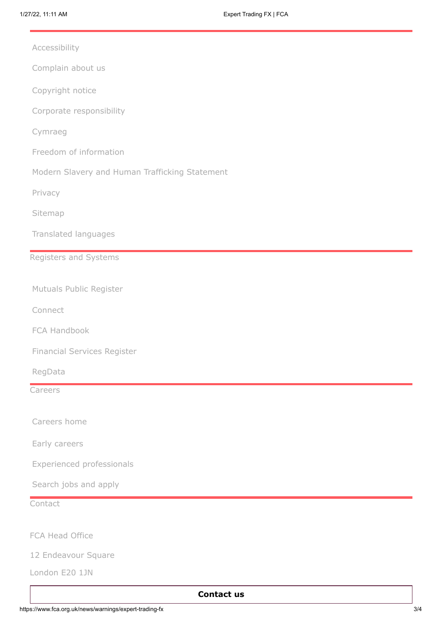[Accessibility](https://www.fca.org.uk/accessibility)

[Complain about us](https://www.fca.org.uk/about/complain-about-regulators)

[Copyright notice](https://www.fca.org.uk/legal)

[Corporate responsibility](https://www.fca.org.uk/about/corporate-responsibility)

[Cymraeg](https://www.fca.org.uk/about/cymraeg)

- [Freedom of information](https://www.fca.org.uk/freedom-information)
- [Modern Slavery and Human Trafficking Statement](https://www.fca.org.uk/about/corporate-responsibility#modern_slavery)

[Privacy](https://www.fca.org.uk/privacy)

[Sitemap](https://www.fca.org.uk/sitemap)

[Translated languages](https://www.fca.org.uk/translated-pages)

#### Registers and Systems

[Mutuals Public Register](https://www.fca.org.uk/firms/mutuals-public-register)

[Connect](https://www.fca.org.uk/firms/connect)

[FCA Handbook](https://www.fca.org.uk/about/handbook)

[Financial Services Register](https://www.fca.org.uk/firms/financial-services-register)

[RegData](https://www.fca.org.uk/firms/regdata)

Careers

[Careers home](https://www.fca.org.uk/careers)

[Early careers](https://www.fca.org.uk/careers/early-careers)

[Experienced professionals](https://www.fca.org.uk/careers/experienced-professionals)

[Search jobs and apply](https://www.fca.org.uk/careers/search-jobs-apply)

**Contact** 

FCA Head Office

12 Endeavour Square

London E20 1JN

#### **[Contact us](https://www.fca.org.uk/contact)**